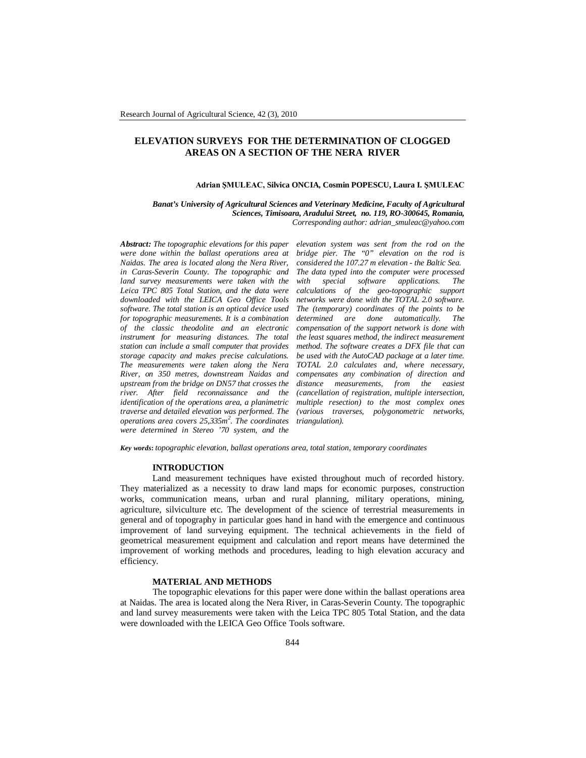# **ELEVATION SURVEYS FOR THE DETERMINATION OF CLOGGED AREAS ON A SECTION OF THE NERA RIVER**

### **Adrian ŞMULEAC, Silvica ONCIA, Cosmin POPESCU, Laura I. ŞMULEAC**

*Banat's University of Agricultural Sciences and Veterinary Medicine, Faculty of Agricultural Sciences, Timisoara, Aradului Street, no. 119, RO-300645, Romania, Corresponding author: adrian\_smuleac@yahoo.com*

*Abstract: The topographic elevations for this paper were done within the ballast operations area at Naidas. The area is located along the Nera River, in Caras-Severin County. The topographic and land survey measurements were taken with the Leica TPC 805 Total Station, and the data were downloaded with the LEICA Geo Office Tools software. The total station is an optical device used for topographic measurements. It is a combination of the classic theodolite and an electronic instrument for measuring distances. The total station can include a small computer that provides storage capacity and makes precise calculations. The measurements were taken along the Nera River, on 350 metres, downstream Naidas and upstream from the bridge on DN57 that crosses the river. After field reconnaissance and the identification of the operations area, a planimetric traverse and detailed elevation was performed. The operations area covers 25,335m<sup>2</sup> . The coordinates were determined in Stereo '70 system, and the* 

*elevation system was sent from the rod on the bridge pier. The "0" elevation on the rod is considered the 107.27 m elevation - the Baltic Sea. The data typed into the computer were processed with special software applications. The calculations of the geo-topographic support networks were done with the TOTAL 2.0 software. The (temporary) coordinates of the points to be determined are done automatically. The compensation of the support network is done with the least squares method, the indirect measurement method. The software creates a DFX file that can be used with the AutoCAD package at a later time. TOTAL 2.0 calculates and, where necessary, compensates any combination of direction and distance measurements, from the easiest (cancellation of registration, multiple intersection, multiple resection) to the most complex ones (various traverses, polygonometric networks, triangulation).* 

*Key words***:** *topographic elevation, ballast operations area, total station, temporary coordinates*

## **INTRODUCTION**

Land measurement techniques have existed throughout much of recorded history. They materialized as a necessity to draw land maps for economic purposes, construction works, communication means, urban and rural planning, military operations, mining, agriculture, silviculture etc. The development of the science of terrestrial measurements in general and of topography in particular goes hand in hand with the emergence and continuous improvement of land surveying equipment. The technical achievements in the field of geometrical measurement equipment and calculation and report means have determined the improvement of working methods and procedures, leading to high elevation accuracy and efficiency.

#### **MATERIAL AND METHODS**

The topographic elevations for this paper were done within the ballast operations area at Naidas. The area is located along the Nera River, in Caras-Severin County. The topographic and land survey measurements were taken with the Leica TPC 805 Total Station, and the data were downloaded with the LEICA Geo Office Tools software.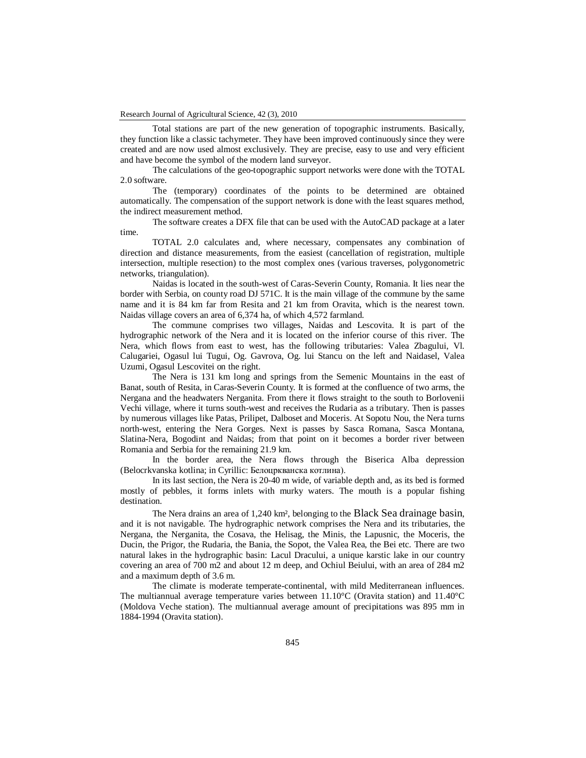Total stations are part of the new generation of topographic instruments. Basically, they function like a classic tachymeter. They have been improved continuously since they were created and are now used almost exclusively. They are precise, easy to use and very efficient and have become the symbol of the modern land surveyor.

The calculations of the geo-topographic support networks were done with the TOTAL 2.0 software.

The (temporary) coordinates of the points to be determined are obtained automatically. The compensation of the support network is done with the least squares method, the indirect measurement method.

The software creates a DFX file that can be used with the AutoCAD package at a later time.

TOTAL 2.0 calculates and, where necessary, compensates any combination of direction and distance measurements, from the easiest (cancellation of registration, multiple intersection, multiple resection) to the most complex ones (various traverses, polygonometric networks, triangulation).

Naidas is located in the south-west of Caras-Severin County, Romania. It lies near the border with Serbia, on county road DJ 571C. It is the main village of the commune by the same name and it is 84 km far from Resita and 21 km from Oravita, which is the nearest town. Naidas village covers an area of 6,374 ha, of which 4,572 farmland.

The commune comprises two villages, Naidas and Lescovita. It is part of the hydrographic network of the Nera and it is located on the inferior course of this river. The Nera, which flows from east to west, has the following tributaries: Valea Zbagului, Vl. Calugariei, Ogasul lui Tugui, Og. Gavrova, Og. lui Stancu on the left and Naidasel, Valea Uzumi, Ogasul Lescovitei on the right.

The Nera is 131 km long and springs from the Semenic Mountains in the east of Banat, south of Resita, in Caras-Severin County. It is formed at the confluence of two arms, the Nergana and the headwaters Nerganita. From there it flows straight to the south to Borlovenii Vechi village, where it turns south-west and receives the Rudaria as a tributary. Then is passes by numerous villages like Patas, Prilipet, Dalboset and Moceris. At Sopotu Nou, the Nera turns north-west, entering the Nera Gorges. Next is passes by Sasca Romana, Sasca Montana, Slatina-Nera, Bogodint and Naidas; from that point on it becomes a border river between Romania and Serbia for the remaining 21.9 km.

In the border area, the Nera flows through the Biserica Alba depression (Belocrkvanska kotlina; in Cyrillic: Белоцркванска котлина).

In its last section, the Nera is 20-40 m wide, of variable depth and, as its bed is formed mostly of pebbles, it forms inlets with murky waters. The mouth is a popular fishing destination.

The Nera drains an area of 1,240 km², belonging to the Black Sea drainage basin, and it is not navigable. The hydrographic network comprises the Nera and its tributaries, the Nergana, the Nerganita, the Cosava, the Helisag, the Minis, the Lapusnic, the Moceris, the Ducin, the Prigor, the Rudaria, the Bania, the Sopot, the Valea Rea, the Bei etc. There are two natural lakes in the hydrographic basin: Lacul Dracului, a unique karstic lake in our country covering an area of 700 m2 and about 12 m deep, and Ochiul Beiului, with an area of 284 m2 and a maximum depth of 3.6 m.

The climate is moderate temperate-continental, with mild Mediterranean influences. The multiannual average temperature varies between  $11.10^{\circ}$ C (Oravita station) and  $11.40^{\circ}$ C (Moldova Veche station). The multiannual average amount of precipitations was 895 mm in 1884-1994 (Oravita station).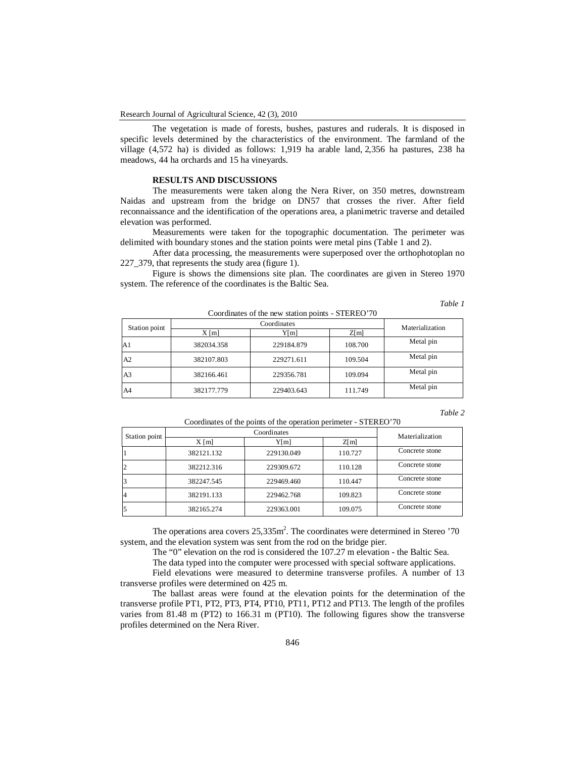The vegetation is made of forests, bushes, pastures and ruderals. It is disposed in specific levels determined by the characteristics of the environment. The farmland of the village (4,572 ha) is divided as follows: 1,919 ha arable land, 2,356 ha pastures, 238 ha meadows, 44 ha orchards and 15 ha vineyards.

### **RESULTS AND DISCUSSIONS**

The measurements were taken along the Nera River, on 350 metres, downstream Naidas and upstream from the bridge on DN57 that crosses the river. After field reconnaissance and the identification of the operations area, a planimetric traverse and detailed elevation was performed.

Measurements were taken for the topographic documentation. The perimeter was delimited with boundary stones and the station points were metal pins (Table 1 and 2).

After data processing, the measurements were superposed over the orthophotoplan no 227\_379, that represents the study area (figure 1).

Figure is shows the dimensions site plan. The coordinates are given in Stereo 1970 system. The reference of the coordinates is the Baltic Sea.

 $Conclinotes of the new station points  $\mathbb{C} \text{TFDEO'}70$$ 

*Table 1*

| Station point  | Coordinates |            |         | Materialization |
|----------------|-------------|------------|---------|-----------------|
|                | $X$ [m]     | Y[m]       | Z[m]    |                 |
| A <sub>1</sub> | 382034.358  | 229184.879 | 108.700 | Metal pin       |
| A2             | 382107.803  | 229271.611 | 109.504 | Metal pin       |
| A <sub>3</sub> | 382166.461  | 229356.781 | 109.094 | Metal pin       |
| A4             | 382177.779  | 229403.643 | 111.749 | Metal pin       |

*Table 2*

| Coordinates of the points of the operation perimeter - STEREO'70 |                   |            |         |                 |  |  |  |
|------------------------------------------------------------------|-------------------|------------|---------|-----------------|--|--|--|
| Station point                                                    | Coordinates       |            |         | Materialization |  |  |  |
|                                                                  | $X \, \text{[m]}$ | Yfml       | Z[m]    |                 |  |  |  |
|                                                                  | 382121.132        | 229130.049 | 110.727 | Concrete stone  |  |  |  |
| 2                                                                | 382212.316        | 229309.672 | 110.128 | Concrete stone  |  |  |  |
|                                                                  | 382247.545        | 229469.460 | 110.447 | Concrete stone  |  |  |  |

4 382191.133 229462.768 109.823 Concrete stone 5 382165.274 229363.001 109.075 Concrete stone

The operations area covers  $25,335$ m<sup>2</sup>. The coordinates were determined in Stereo '70 system, and the elevation system was sent from the rod on the bridge pier.

The "0" elevation on the rod is considered the 107.27 m elevation - the Baltic Sea.

The data typed into the computer were processed with special software applications.

Field elevations were measured to determine transverse profiles. A number of 13 transverse profiles were determined on 425 m.

The ballast areas were found at the elevation points for the determination of the transverse profile PT1, PT2, PT3, PT4, PT10, PT11, PT12 and PT13. The length of the profiles varies from 81.48 m (PT2) to 166.31 m (PT10). The following figures show the transverse profiles determined on the Nera River.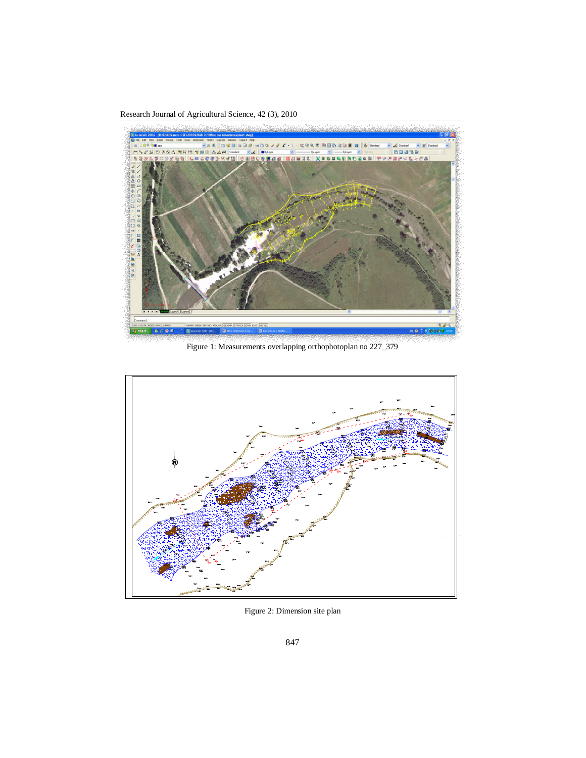Research Journal of Agricultural Science, 42 (3), 2010



Figure 1: Measurements overlapping orthophotoplan no 227\_379



Figure 2: Dimension site plan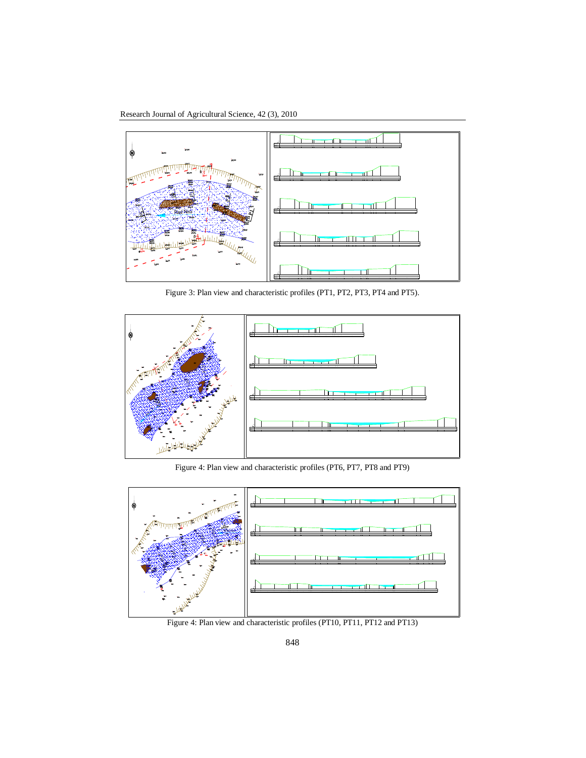Research Journal of Agricultural Science, 42 (3), 2010



Figure 3: Plan view and characteristic profiles (PT1, PT2, PT3, PT4 and PT5).



Figure 4: Plan view and characteristic profiles (PT6, PT7, PT8 and PT9)